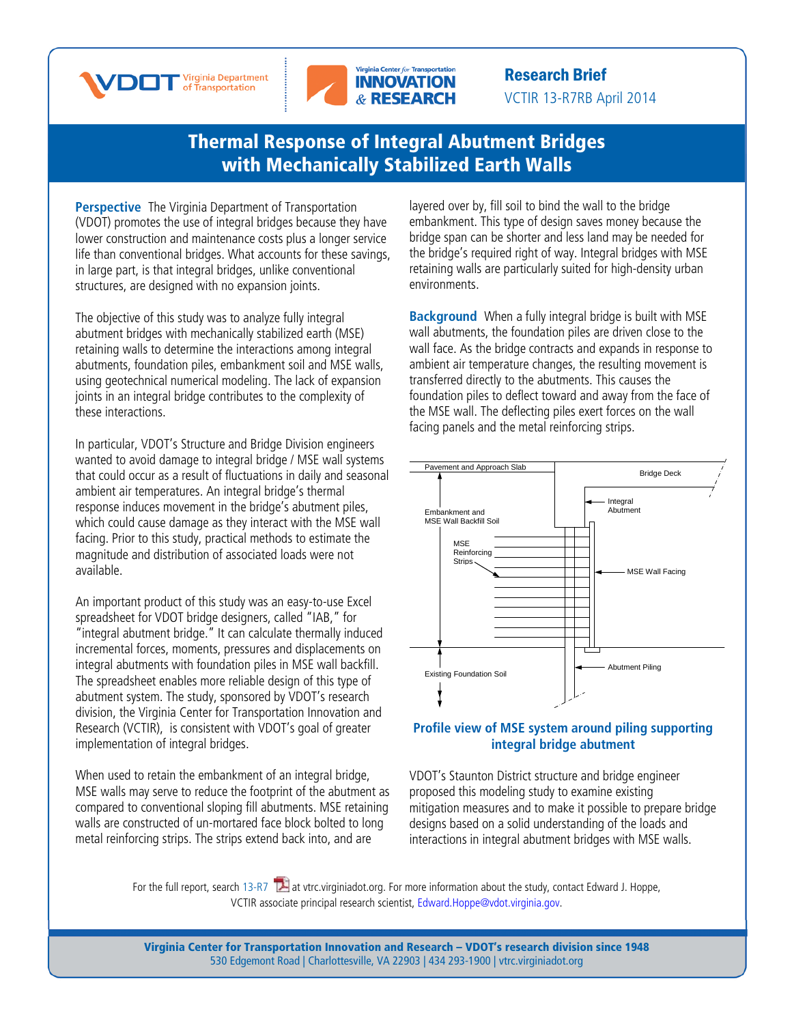



Research Brief VCTIR 13-R7RB April 2014

## [Thermal Response of Integral Abutment Bridges](http://www.virginiadot.org/vtrc/main/online_reports/pdf/13-r7.pdf)  [with Mechanically Stabilized Earth Walls](http://www.virginiadot.org/vtrc/main/online_reports/pdf/13-r7.pdf)

**Perspective** The Virginia Department of Transportation (VDOT) promotes the use of integral bridges because they have lower construction and maintenance costs plus a longer service life than conventional bridges. What accounts for these savings, in large part, is that integral bridges, unlike conventional structures, are designed with no expansion joints.

The objective of this study was to analyze fully integral abutment bridges with mechanically stabilized earth (MSE) retaining walls to determine the interactions among integral abutments, foundation piles, embankment soil and MSE walls, using geotechnical numerical modeling. The lack of expansion joints in an integral bridge contributes to the complexity of these interactions.

In particular, VDOT's Structure and Bridge Division engineers wanted to avoid damage to integral bridge / MSE wall systems that could occur as a result of fluctuations in daily and seasonal ambient air temperatures. An integral bridge's thermal response induces movement in the bridge's abutment piles, which could cause damage as they interact with the MSE wall facing. Prior to this study, practical methods to estimate the magnitude and distribution of associated loads were not available.

An important product of this study was an easy-to-use Excel spreadsheet for VDOT bridge designers, called "IAB," for "integral abutment bridge." It can calculate thermally induced incremental forces, moments, pressures and displacements on integral abutments with foundation piles in MSE wall backfill. The spreadsheet enables more reliable design of this type of abutment system. The study, sponsored by VDOT's research division, the Virginia Center for Transportation Innovation and Research (VCTIR), is consistent with VDOT's goal of greater implementation of integral bridges.

When used to retain the embankment of an integral bridge, MSE walls may serve to reduce the footprint of the abutment as compared to conventional sloping fill abutments. MSE retaining walls are constructed of un-mortared face block bolted to long metal reinforcing strips. The strips extend back into, and are

layered over by, fill soil to bind the wall to the bridge embankment. This type of design saves money because the bridge span can be shorter and less land may be needed for the bridge's required right of way. Integral bridges with MSE retaining walls are particularly suited for high-density urban environments.

**Background** When a fully integral bridge is built with MSE wall abutments, the foundation piles are driven close to the wall face. As the bridge contracts and expands in response to ambient air temperature changes, the resulting movement is transferred directly to the abutments. This causes the foundation piles to deflect toward and away from the face of the MSE wall. The deflecting piles exert forces on the wall facing panels and the metal reinforcing strips.



## **Profile view of MSE system around piling supporting integral bridge abutment**

VDOT's Staunton District structure and bridge engineer proposed this modeling study to examine existing mitigation measures and to make it possible to prepare bridge designs based on a solid understanding of the loads and interactions in integral abutment bridges with MSE walls.

VCTIR associate principal research scientist, Edward.Hoppe@vdot.virginia.gov. For the full report, searc[h 13-R7](http://www.virginiadot.org/vtrc/main/online_reports/pdf/13-r7.pdf)  $\blacktriangleright$  at vtrc.virginiadot.org. For more information about the study, contact Edward J. Hoppe,

> Virginia Center for Transportation Innovation and Research – VDOT's research division since 1948 530 Edgemont Road | Charlottesville, VA 22903 | 434 293-1900 | [vtrc.virginiadot.org](http://vtrc.virginiadot.org/)